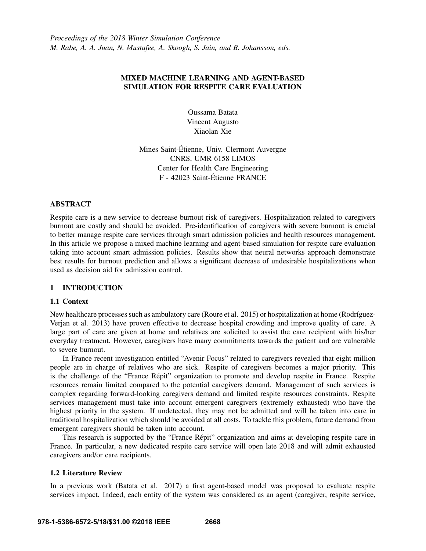*Proceedings of the 2018 Winter Simulation Conference M. Rabe, A. A. Juan, N. Mustafee, A. Skoogh, S. Jain, and B. Johansson, eds.*

# MIXED MACHINE LEARNING AND AGENT-BASED SIMULATION FOR RESPITE CARE EVALUATION

Oussama Batata Vincent Augusto Xiaolan Xie

Mines Saint-Etienne, Univ. Clermont Auvergne ´ CNRS, UMR 6158 LIMOS Center for Health Care Engineering F - 42023 Saint-Etienne FRANCE ´

#### ABSTRACT

Respite care is a new service to decrease burnout risk of caregivers. Hospitalization related to caregivers burnout are costly and should be avoided. Pre-identification of caregivers with severe burnout is crucial to better manage respite care services through smart admission policies and health resources management. In this article we propose a mixed machine learning and agent-based simulation for respite care evaluation taking into account smart admission policies. Results show that neural networks approach demonstrate best results for burnout prediction and allows a significant decrease of undesirable hospitalizations when used as decision aid for admission control.

### 1 INTRODUCTION

#### 1.1 Context

New healthcare processes such as ambulatory care (Roure et al. 2015) or hospitalization at home (Rodríguez-Verjan et al. 2013) have proven effective to decrease hospital crowding and improve quality of care. A large part of care are given at home and relatives are solicited to assist the care recipient with his/her everyday treatment. However, caregivers have many commitments towards the patient and are vulnerable to severe burnout.

In France recent investigation entitled "Avenir Focus" related to caregivers revealed that eight million people are in charge of relatives who are sick. Respite of caregivers becomes a major priority. This is the challenge of the "France Repit" organization to promote and develop respite in France. Respite ´ resources remain limited compared to the potential caregivers demand. Management of such services is complex regarding forward-looking caregivers demand and limited respite resources constraints. Respite services management must take into account emergent caregivers (extremely exhausted) who have the highest priority in the system. If undetected, they may not be admitted and will be taken into care in traditional hospitalization which should be avoided at all costs. To tackle this problem, future demand from emergent caregivers should be taken into account.

This research is supported by the "France Répit" organization and aims at developing respite care in France. In particular, a new dedicated respite care service will open late 2018 and will admit exhausted caregivers and/or care recipients.

#### 1.2 Literature Review

In a previous work (Batata et al. 2017) a first agent-based model was proposed to evaluate respite services impact. Indeed, each entity of the system was considered as an agent (caregiver, respite service,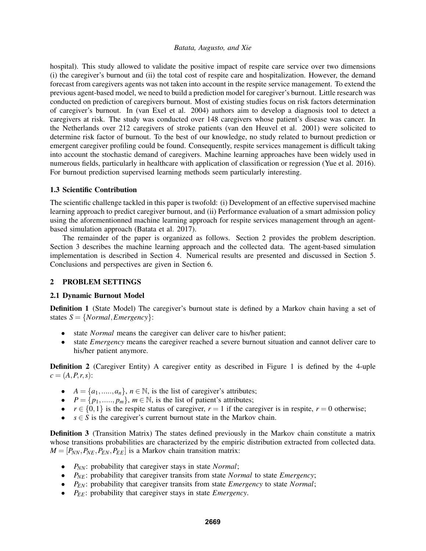hospital). This study allowed to validate the positive impact of respite care service over two dimensions (i) the caregiver's burnout and (ii) the total cost of respite care and hospitalization. However, the demand forecast from caregivers agents was not taken into account in the respite service management. To extend the previous agent-based model, we need to build a prediction model for caregiver's burnout. Little research was conducted on prediction of caregivers burnout. Most of existing studies focus on risk factors determination of caregiver's burnout. In (van Exel et al. 2004) authors aim to develop a diagnosis tool to detect a caregivers at risk. The study was conducted over 148 caregivers whose patient's disease was cancer. In the Netherlands over 212 caregivers of stroke patients (van den Heuvel et al. 2001) were solicited to determine risk factor of burnout. To the best of our knowledge, no study related to burnout prediction or emergent caregiver profiling could be found. Consequently, respite services management is difficult taking into account the stochastic demand of caregivers. Machine learning approaches have been widely used in numerous fields, particularly in healthcare with application of classification or regression (Yue et al. 2016). For burnout prediction supervised learning methods seem particularly interesting.

# 1.3 Scientific Contribution

The scientific challenge tackled in this paper is twofold: (i) Development of an effective supervised machine learning approach to predict caregiver burnout, and (ii) Performance evaluation of a smart admission policy using the aforementionned machine learning approach for respite services management through an agentbased simulation approach (Batata et al. 2017).

The remainder of the paper is organized as follows. Section 2 provides the problem description. Section 3 describes the machine learning approach and the collected data. The agent-based simulation implementation is described in Section 4. Numerical results are presented and discussed in Section 5. Conclusions and perspectives are given in Section 6.

# 2 PROBLEM SETTINGS

### 2.1 Dynamic Burnout Model

**Definition 1** (State Model) The caregiver's burnout state is defined by a Markov chain having a set of states  $S = \{Normal, Emergency\}$ :

- state *Normal* means the caregiver can deliver care to his/her patient;
- state *Emergency* means the caregiver reached a severe burnout situation and cannot deliver care to his/her patient anymore.

**Definition 2** (Caregiver Entity) A caregiver entity as described in Figure 1 is defined by the 4-uple  $c = (A, P, r, s)$ :

- $A = \{a_1, \ldots, a_n\}, n \in \mathbb{N}$ , is the list of caregiver's attributes;
- $P = \{p_1, \ldots, p_m\}$ ,  $m \in \mathbb{N}$ , is the list of patient's attributes;
- $r \in \{0,1\}$  is the respite status of caregiver,  $r = 1$  if the caregiver is in respite,  $r = 0$  otherwise;
- $s \in S$  is the caregiver's current burnout state in the Markov chain.

**Definition 3** (Transition Matrix) The states defined previously in the Markov chain constitute a matrix whose transitions probabilities are characterized by the empiric distribution extracted from collected data.  $M = [P_{NN}, P_{NE}, P_{EN}, P_{EE}]$  is a Markov chain transition matrix:

- *PNN*: probability that caregiver stays in state *Normal*;
- *P<sub>NE</sub>*: probability that caregiver transits from state *Normal* to state *Emergency*;
- *PEN*: probability that caregiver transits from state *Emergency* to state *Normal*;
- *PEE*: probability that caregiver stays in state *Emergency*.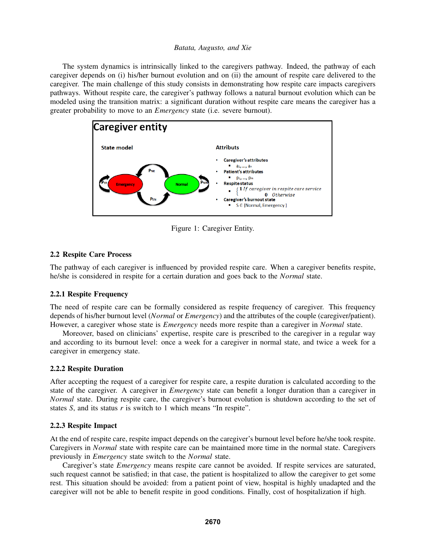The system dynamics is intrinsically linked to the caregivers pathway. Indeed, the pathway of each caregiver depends on (i) his/her burnout evolution and on (ii) the amount of respite care delivered to the caregiver. The main challenge of this study consists in demonstrating how respite care impacts caregivers pathways. Without respite care, the caregiver's pathway follows a natural burnout evolution which can be modeled using the transition matrix: a significant duration without respite care means the caregiver has a greater probability to move to an *Emergency* state (i.e. severe burnout).



Figure 1: Caregiver Entity.

# 2.2 Respite Care Process

The pathway of each caregiver is influenced by provided respite care. When a caregiver benefits respite, he/she is considered in respite for a certain duration and goes back to the *Normal* state.

### 2.2.1 Respite Frequency

The need of respite care can be formally considered as respite frequency of caregiver. This frequency depends of his/her burnout level (*Normal* or *Emergency*) and the attributes of the couple (caregiver/patient). However, a caregiver whose state is *Emergency* needs more respite than a caregiver in *Normal* state.

Moreover, based on clinicians' expertise, respite care is prescribed to the caregiver in a regular way and according to its burnout level: once a week for a caregiver in normal state, and twice a week for a caregiver in emergency state.

### 2.2.2 Respite Duration

After accepting the request of a caregiver for respite care, a respite duration is calculated according to the state of the caregiver. A caregiver in *Emergency* state can benefit a longer duration than a caregiver in *Normal* state. During respite care, the caregiver's burnout evolution is shutdown according to the set of states *S*, and its status *r* is switch to 1 which means "In respite".

### 2.2.3 Respite Impact

At the end of respite care, respite impact depends on the caregiver's burnout level before he/she took respite. Caregivers in *Normal* state with respite care can be maintained more time in the normal state. Caregivers previously in *Emergency* state switch to the *Normal* state.

Caregiver's state *Emergency* means respite care cannot be avoided. If respite services are saturated, such request cannot be satisfied; in that case, the patient is hospitalized to allow the caregiver to get some rest. This situation should be avoided: from a patient point of view, hospital is highly unadapted and the caregiver will not be able to benefit respite in good conditions. Finally, cost of hospitalization if high.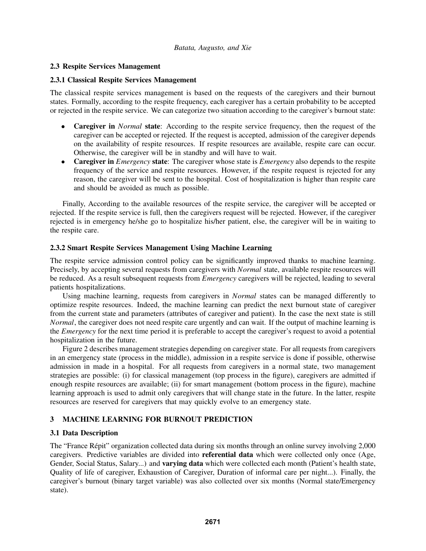# 2.3 Respite Services Management

# 2.3.1 Classical Respite Services Management

The classical respite services management is based on the requests of the caregivers and their burnout states. Formally, according to the respite frequency, each caregiver has a certain probability to be accepted or rejected in the respite service. We can categorize two situation according to the caregiver's burnout state:

- Caregiver in *Normal* state: According to the respite service frequency, then the request of the caregiver can be accepted or rejected. If the request is accepted, admission of the caregiver depends on the availability of respite resources. If respite resources are available, respite care can occur. Otherwise, the caregiver will be in standby and will have to wait.
- Caregiver in *Emergency* state: The caregiver whose state is *Emergency* also depends to the respite frequency of the service and respite resources. However, if the respite request is rejected for any reason, the caregiver will be sent to the hospital. Cost of hospitalization is higher than respite care and should be avoided as much as possible.

Finally, According to the available resources of the respite service, the caregiver will be accepted or rejected. If the respite service is full, then the caregivers request will be rejected. However, if the caregiver rejected is in emergency he/she go to hospitalize his/her patient, else, the caregiver will be in waiting to the respite care.

# 2.3.2 Smart Respite Services Management Using Machine Learning

The respite service admission control policy can be significantly improved thanks to machine learning. Precisely, by accepting several requests from caregivers with *Normal* state, available respite resources will be reduced. As a result subsequent requests from *Emergency* caregivers will be rejected, leading to several patients hospitalizations.

Using machine learning, requests from caregivers in *Normal* states can be managed differently to optimize respite resources. Indeed, the machine learning can predict the next burnout state of caregiver from the current state and parameters (attributes of caregiver and patient). In the case the next state is still *Normal*, the caregiver does not need respite care urgently and can wait. If the output of machine learning is the *Emergency* for the next time period it is preferable to accept the caregiver's request to avoid a potential hospitalization in the future.

Figure 2 describes management strategies depending on caregiver state. For all requests from caregivers in an emergency state (process in the middle), admission in a respite service is done if possible, otherwise admission in made in a hospital. For all requests from caregivers in a normal state, two management strategies are possible: (i) for classical management (top process in the figure), caregivers are admitted if enough respite resources are available; (ii) for smart management (bottom process in the figure), machine learning approach is used to admit only caregivers that will change state in the future. In the latter, respite resources are reserved for caregivers that may quickly evolve to an emergency state.

# 3 MACHINE LEARNING FOR BURNOUT PREDICTION

# 3.1 Data Description

The "France Répit" organization collected data during six months through an online survey involving 2,000 caregivers. Predictive variables are divided into referential data which were collected only once (Age, Gender, Social Status, Salary...) and **varying data** which were collected each month (Patient's health state, Quality of life of caregiver, Exhaustion of Caregiver, Duration of informal care per night...). Finally, the caregiver's burnout (binary target variable) was also collected over six months (Normal state/Emergency state).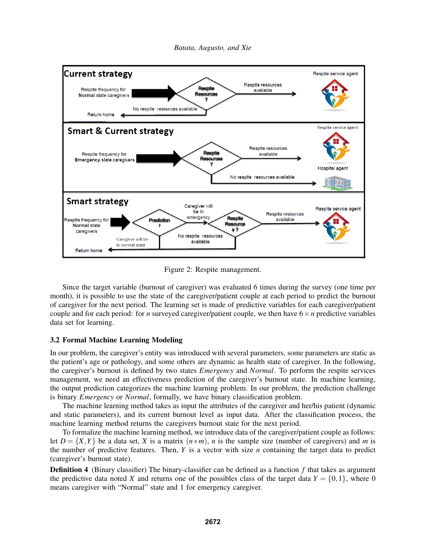

Figure 2: Respite management.

Since the target variable (burnout of caregiver) was evaluated 6 times during the survey (one time per month), it is possible to use the state of the caregiver/patient couple at each period to predict the burnout of caregiver for the next period. The learning set is made of predictive variables for each caregiver/patient couple and for each period: for *n* surveyed caregiver/patient couple, we then have  $6 \times n$  predictive variables data set for learning.

### 3.2 Formal Machine Learning Modeling

In our problem, the caregiver's entity was introduced with several parameters, some parameters are static as the patient's age or pathology, and some others are dynamic as health state of caregiver. In the following, the caregiver's burnout is defined by two states *Emergency* and *Normal*. To perform the respite services management, we need an effectiveness prediction of the caregiver's burnout state. In machine learning, the output prediction categorizes the machine learning problem. In our problem, the prediction challenge is binary *Emergency* or *Normal*, formally, we have binary classification problem.

The machine learning method takes as input the attributes of the caregiver and her/his patient (dynamic and static parameters), and its current burnout level as input data. After the classification process, the machine learning method returns the caregivers burnout state for the next period.

To formalize the machine learning method, we introduce data of the caregiver/patient couple as follows: let  $D = \{X, Y\}$  be a data set, *X* is a matrix  $(n * m)$ , *n* is the sample size (number of caregivers) and *m* is the number of predictive features. Then, *Y* is a vector with size *n* containing the target data to predict (caregiver's burnout state).

Definition 4 (Binary classifier) The binary-classifier can be defined as a function *f* that takes as argument the predictive data noted *X* and returns one of the possibles class of the target data  $Y = \{0, 1\}$ , where 0 means caregiver with "Normal" state and 1 for emergency caregiver.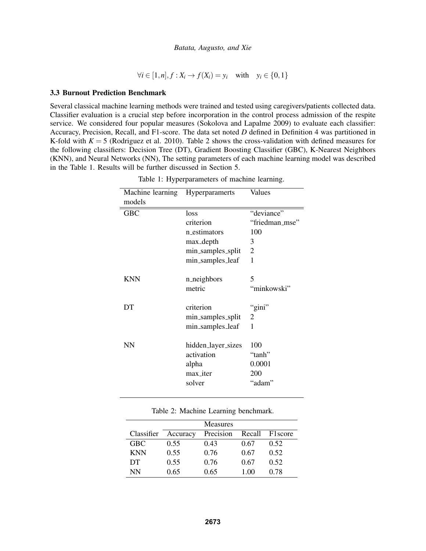$∀i ∈ [1, n], f : X_i → f(X_i) = y_i$  with  $y_i ∈ \{0, 1\}$ 

### 3.3 Burnout Prediction Benchmark

Several classical machine learning methods were trained and tested using caregivers/patients collected data. Classifier evaluation is a crucial step before incorporation in the control process admission of the respite service. We considered four popular measures (Sokolova and Lapalme 2009) to evaluate each classifier: Accuracy, Precision, Recall, and F1-score. The data set noted *D* defined in Definition 4 was partitioned in K-fold with  $K = 5$  (Rodriguez et al. 2010). Table 2 shows the cross-validation with defined measures for the following classifiers: Decision Tree (DT), Gradient Boosting Classifier (GBC), K-Nearest Neighbors (KNN), and Neural Networks (NN), The setting parameters of each machine learning model was described in the Table 1. Results will be further discussed in Section 5.

| Machine learning<br>models | Hyperparamerts     | Values         |  |
|----------------------------|--------------------|----------------|--|
| <b>GBC</b>                 | loss               | "deviance"     |  |
|                            | criterion          | "friedman_mse" |  |
|                            | n_estimators       | 100            |  |
|                            | max_depth          | 3              |  |
|                            | min_samples_split  | $\overline{2}$ |  |
|                            | min_samples_leaf   | 1              |  |
|                            |                    |                |  |
| <b>KNN</b>                 | n_neighbors        | 5              |  |
|                            | metric             | "minkowski"    |  |
| DT                         | criterion          | "gini"         |  |
|                            | min_samples_split  | $\overline{2}$ |  |
|                            | min_samples_leaf   | 1              |  |
| NN                         | hidden_layer_sizes | 100            |  |
|                            | activation         | "tanh"         |  |
|                            | alpha              | 0.0001         |  |
|                            | max_iter           | 200            |  |
|                            | solver             | "adam"         |  |
|                            |                    |                |  |

Table 1: Hyperparameters of machine learning.

|  |  |  | Table 2: Machine Learning benchmark. |
|--|--|--|--------------------------------------|
|--|--|--|--------------------------------------|

|            |          | <b>Measures</b> |        |                     |
|------------|----------|-----------------|--------|---------------------|
| Classifier | Accuracy | Precision       | Recall | F1 <sub>score</sub> |
| <b>GBC</b> | 0.55     | 0.43            | 0.67   | 0.52                |
| <b>KNN</b> | 0.55     | 0.76            | 0.67   | 0.52                |
| DT         | 0.55     | 0.76            | 0.67   | 0.52                |
| NN         | 0.65     | 0.65            | 1.00   | 0.78                |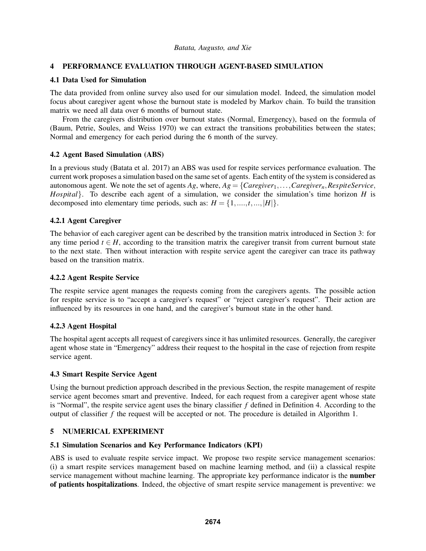# 4 PERFORMANCE EVALUATION THROUGH AGENT-BASED SIMULATION

# 4.1 Data Used for Simulation

The data provided from online survey also used for our simulation model. Indeed, the simulation model focus about caregiver agent whose the burnout state is modeled by Markov chain. To build the transition matrix we need all data over 6 months of burnout state.

From the caregivers distribution over burnout states (Normal, Emergency), based on the formula of (Baum, Petrie, Soules, and Weiss 1970) we can extract the transitions probabilities between the states; Normal and emergency for each period during the 6 month of the survey.

### 4.2 Agent Based Simulation (ABS)

In a previous study (Batata et al. 2017) an ABS was used for respite services performance evaluation. The current work proposes a simulation based on the same set of agents. Each entity of the system is considered as autonomous agent. We note the set of agents  $Ag$ , where,  $Ag = \{Caregiver_1, \ldots, Caregiver_n, RespiteService,$ *Hospital*}. To describe each agent of a simulation, we consider the simulation's time horizon *H* is decomposed into elementary time periods, such as:  $H = \{1, \ldots, t, \ldots, |H|\}.$ 

# 4.2.1 Agent Caregiver

The behavior of each caregiver agent can be described by the transition matrix introduced in Section 3: for any time period  $t \in H$ , according to the transition matrix the caregiver transit from current burnout state to the next state. Then without interaction with respite service agent the caregiver can trace its pathway based on the transition matrix.

### 4.2.2 Agent Respite Service

The respite service agent manages the requests coming from the caregivers agents. The possible action for respite service is to "accept a caregiver's request" or "reject caregiver's request". Their action are influenced by its resources in one hand, and the caregiver's burnout state in the other hand.

### 4.2.3 Agent Hospital

The hospital agent accepts all request of caregivers since it has unlimited resources. Generally, the caregiver agent whose state in "Emergency" address their request to the hospital in the case of rejection from respite service agent.

### 4.3 Smart Respite Service Agent

Using the burnout prediction approach described in the previous Section, the respite management of respite service agent becomes smart and preventive. Indeed, for each request from a caregiver agent whose state is "Normal", the respite service agent uses the binary classifier *f* defined in Definition 4. According to the output of classifier *f* the request will be accepted or not. The procedure is detailed in Algorithm 1.

### 5 NUMERICAL EXPERIMENT

### 5.1 Simulation Scenarios and Key Performance Indicators (KPI)

ABS is used to evaluate respite service impact. We propose two respite service management scenarios: (i) a smart respite services management based on machine learning method, and (ii) a classical respite service management without machine learning. The appropriate key performance indicator is the **number** of patients hospitalizations. Indeed, the objective of smart respite service management is preventive: we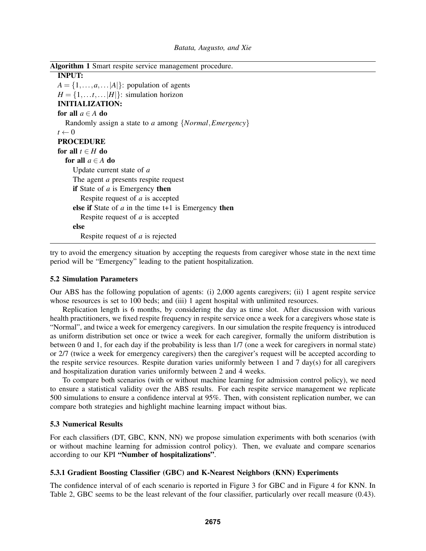| <b>Algorithm 1</b> Smart respite service management procedure. |  |  |
|----------------------------------------------------------------|--|--|
| <b>INPUT:</b>                                                  |  |  |
| $A = \{1, \ldots, a, \ldots  A \}$ : population of agents      |  |  |
| $H = \{1, \ldots t, \ldots  H \}$ : simulation horizon         |  |  |
| <b>INITIALIZATION:</b>                                         |  |  |
| for all $a \in A$ do                                           |  |  |
| Randomly assign a state to a among {Normal, Emergency}         |  |  |
| $t \leftarrow 0$                                               |  |  |
| <b>PROCEDURE</b>                                               |  |  |
| for all $t \in H$ do                                           |  |  |
| for all $a \in A$ do                                           |  |  |
| Update current state of a                                      |  |  |
| The agent <i>a</i> presents respite request                    |  |  |
| <b>if</b> State of a is Emergency then                         |  |  |
| Respite request of a is accepted                               |  |  |
| else if State of $a$ in the time $t+1$ is Emergency then       |  |  |
| Respite request of <i>a</i> is accepted                        |  |  |
| else                                                           |  |  |
| Respite request of <i>a</i> is rejected                        |  |  |

try to avoid the emergency situation by accepting the requests from caregiver whose state in the next time period will be "Emergency" leading to the patient hospitalization.

#### 5.2 Simulation Parameters

Our ABS has the following population of agents: (i) 2,000 agents caregivers; (ii) 1 agent respite service whose resources is set to 100 beds; and (iii) 1 agent hospital with unlimited resources.

Replication length is 6 months, by considering the day as time slot. After discussion with various health practitioners, we fixed respite frequency in respite service once a week for a caregivers whose state is "Normal", and twice a week for emergency caregivers. In our simulation the respite frequency is introduced as uniform distribution set once or twice a week for each caregiver, formally the uniform distribution is between 0 and 1, for each day if the probability is less than 1/7 (one a week for caregivers in normal state) or 2/7 (twice a week for emergency caregivers) then the caregiver's request will be accepted according to the respite service resources. Respite duration varies uniformly between 1 and 7 day(s) for all caregivers and hospitalization duration varies uniformly between 2 and 4 weeks.

To compare both scenarios (with or without machine learning for admission control policy), we need to ensure a statistical validity over the ABS results. For each respite service management we replicate 500 simulations to ensure a confidence interval at 95%. Then, with consistent replication number, we can compare both strategies and highlight machine learning impact without bias.

#### 5.3 Numerical Results

For each classifiers (DT, GBC, KNN, NN) we propose simulation experiments with both scenarios (with or without machine learning for admission control policy). Then, we evaluate and compare scenarios according to our KPI "Number of hospitalizations".

#### 5.3.1 Gradient Boosting Classifier (GBC) and K-Nearest Neighbors (KNN) Experiments

The confidence interval of of each scenario is reported in Figure 3 for GBC and in Figure 4 for KNN. In Table 2, GBC seems to be the least relevant of the four classifier, particularly over recall measure (0.43).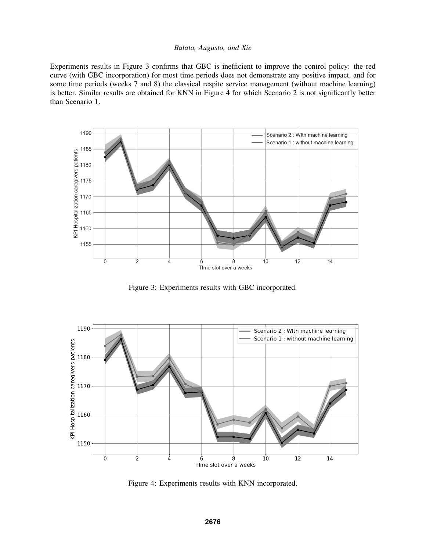Experiments results in Figure 3 confirms that GBC is inefficient to improve the control policy: the red curve (with GBC incorporation) for most time periods does not demonstrate any positive impact, and for some time periods (weeks 7 and 8) the classical respite service management (without machine learning) is better. Similar results are obtained for KNN in Figure 4 for which Scenario 2 is not significantly better than Scenario 1.



Figure 3: Experiments results with GBC incorporated.



Figure 4: Experiments results with KNN incorporated.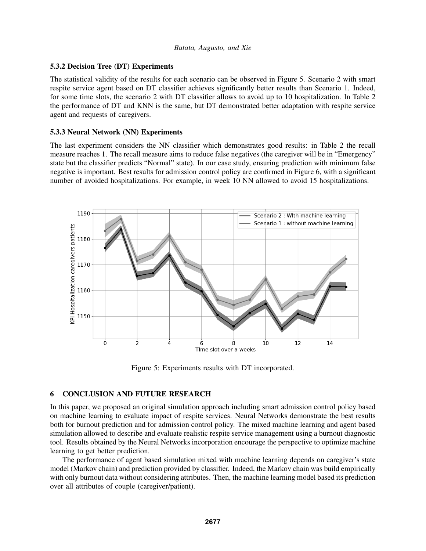# 5.3.2 Decision Tree (DT) Experiments

The statistical validity of the results for each scenario can be observed in Figure 5. Scenario 2 with smart respite service agent based on DT classifier achieves significantly better results than Scenario 1. Indeed, for some time slots, the scenario 2 with DT classifier allows to avoid up to 10 hospitalization. In Table 2 the performance of DT and KNN is the same, but DT demonstrated better adaptation with respite service agent and requests of caregivers.

# 5.3.3 Neural Network (NN) Experiments

The last experiment considers the NN classifier which demonstrates good results: in Table 2 the recall measure reaches 1. The recall measure aims to reduce false negatives (the caregiver will be in "Emergency" state but the classifier predicts "Normal" state). In our case study, ensuring prediction with minimum false negative is important. Best results for admission control policy are confirmed in Figure 6, with a significant number of avoided hospitalizations. For example, in week 10 NN allowed to avoid 15 hospitalizations.



Figure 5: Experiments results with DT incorporated.

# 6 CONCLUSION AND FUTURE RESEARCH

In this paper, we proposed an original simulation approach including smart admission control policy based on machine learning to evaluate impact of respite services. Neural Networks demonstrate the best results both for burnout prediction and for admission control policy. The mixed machine learning and agent based simulation allowed to describe and evaluate realistic respite service management using a burnout diagnostic tool. Results obtained by the Neural Networks incorporation encourage the perspective to optimize machine learning to get better prediction.

The performance of agent based simulation mixed with machine learning depends on caregiver's state model (Markov chain) and prediction provided by classifier. Indeed, the Markov chain was build empirically with only burnout data without considering attributes. Then, the machine learning model based its prediction over all attributes of couple (caregiver/patient).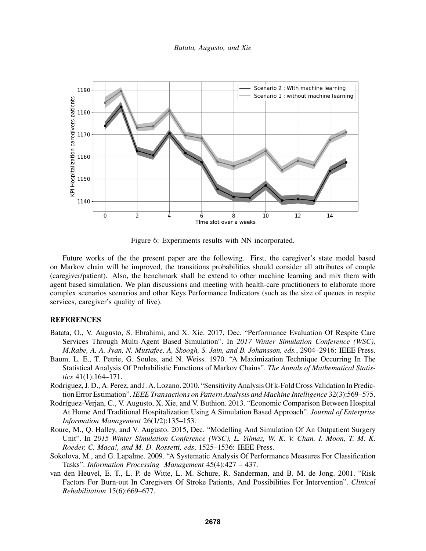

Figure 6: Experiments results with NN incorporated.

Future works of the the present paper are the following. First, the caregiver's state model based on Markov chain will be improved, the transitions probabilities should consider all attributes of couple (caregiver/patient). Also, the benchmark shall be extend to other machine learning and mix them with agent based simulation. We plan discussions and meeting with health-care practitioners to elaborate more complex scenarios scenarios and other Keys Performance Indicators (such as the size of queues in respite services, caregiver's quality of live).

#### REFERENCES

- Batata, O., V. Augusto, S. Ebrahimi, and X. Xie. 2017, Dec. "Performance Evaluation Of Respite Care Services Through Multi-Agent Based Simulation". In *2017 Winter Simulation Conference (WSC), M.Rabe, A. A. Jyan, N. Mustafee, A, Skoogh, S. Jain, and B. Johansson, eds.*, 2904–2916: IEEE Press.
- Baum, L. E., T. Petrie, G. Soules, and N. Weiss. 1970. "A Maximization Technique Occurring In The Statistical Analysis Of Probabilistic Functions of Markov Chains". *The Annals of Mathematical Statistics* 41(1):164–171.
- Rodriguez, J. D., A. Perez, and J. A. Lozano. 2010. "Sensitivity Analysis Of k-Fold Cross Validation In Prediction Error Estimation". *IEEE Transactions on Pattern Analysis and Machine Intelligence* 32(3):569–575.
- Rodríguez-Verjan, C., V. Augusto, X. Xie, and V. Buthion. 2013. "Economic Comparison Between Hospital At Home And Traditional Hospitalization Using A Simulation Based Approach". *Journal of Enterprise Information Management* 26(1/2):135–153.
- Roure, M., Q. Halley, and V. Augusto. 2015, Dec. "Modelling And Simulation Of An Outpatient Surgery Unit". In *2015 Winter Simulation Conference (WSC), L. Yilmaz, W. K. V. Chan, I. Moon, T. M. K. Roeder, C. Maca!, and M. D. Rossetti, eds*, 1525–1536: IEEE Press.
- Sokolova, M., and G. Lapalme. 2009. "A Systematic Analysis Of Performance Measures For Classification Tasks". *Information Processing Management* 45(4):427 – 437.
- van den Heuvel, E. T., L. P. de Witte, L. M. Schure, R. Sanderman, and B. M. de Jong. 2001. "Risk Factors For Burn-out In Caregivers Of Stroke Patients, And Possibilities For Intervention". *Clinical Rehabilitation* 15(6):669–677.